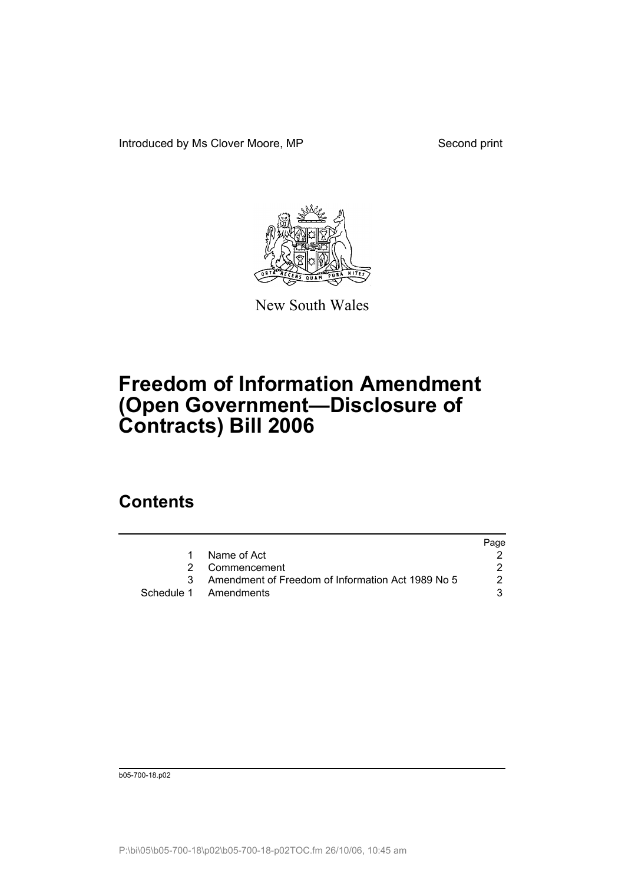Introduced by Ms Clover Moore, MP Second print



New South Wales

# **Freedom of Information Amendment (Open Government—Disclosure of Contracts) Bill 2006**

### **Contents**

|               |                                                   | Page |
|---------------|---------------------------------------------------|------|
|               | Name of Act                                       |      |
|               | 2 Commencement                                    |      |
| $\mathcal{R}$ | Amendment of Freedom of Information Act 1989 No 5 | 2    |
|               | Schedule 1 Amendments                             |      |

b05-700-18.p02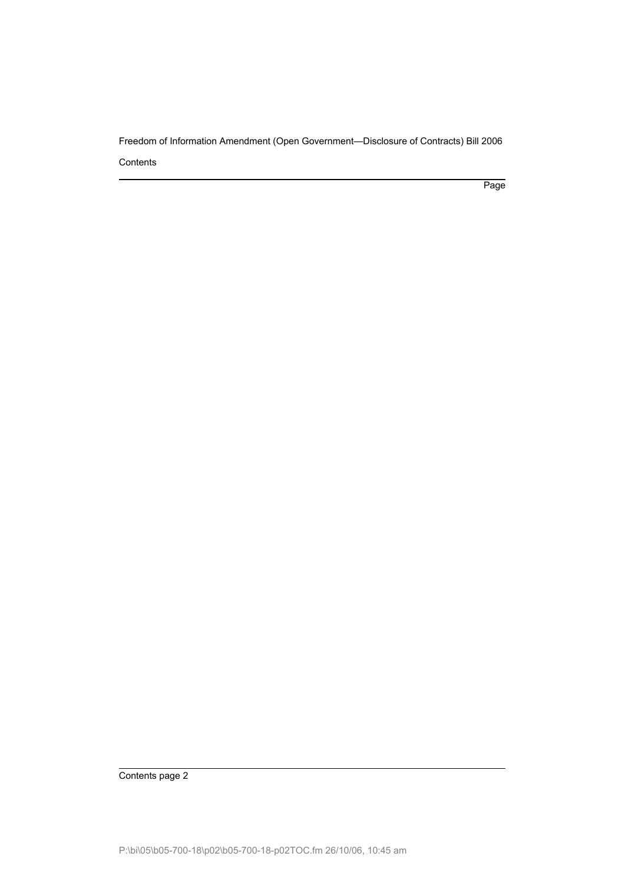Page

Contents page 2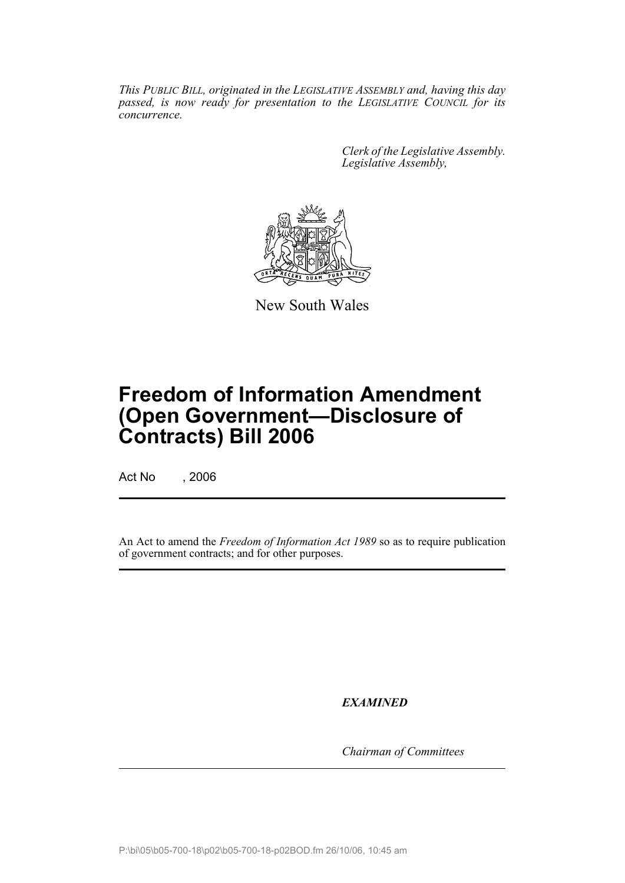*This PUBLIC BILL, originated in the LEGISLATIVE ASSEMBLY and, having this day passed, is now ready for presentation to the LEGISLATIVE COUNCIL for its concurrence.*

> *Clerk of the Legislative Assembly. Legislative Assembly,*



New South Wales

## **Freedom of Information Amendment (Open Government—Disclosure of Contracts) Bill 2006**

Act No , 2006

An Act to amend the *Freedom of Information Act 1989* so as to require publication of government contracts; and for other purposes.

*EXAMINED*

*Chairman of Committees*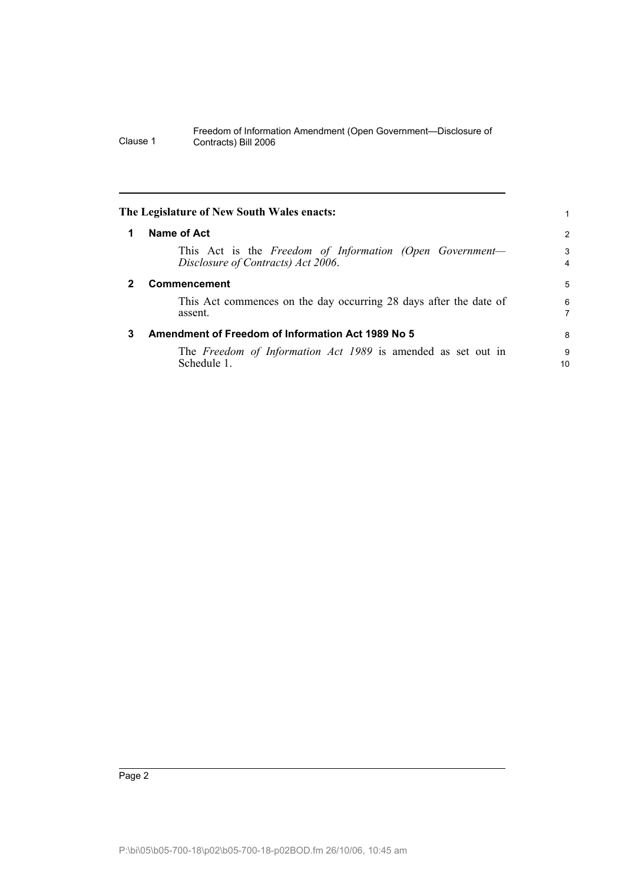<span id="page-3-2"></span><span id="page-3-1"></span><span id="page-3-0"></span>

|   | The Legislature of New South Wales enacts:                                                     |                     |
|---|------------------------------------------------------------------------------------------------|---------------------|
|   | Name of Act                                                                                    | $\overline{2}$      |
|   | This Act is the Freedom of Information (Open Government-<br>Disclosure of Contracts) Act 2006. | 3<br>$\overline{4}$ |
|   | Commencement                                                                                   | 5                   |
|   | This Act commences on the day occurring 28 days after the date of<br>assent.                   | 6<br>$\overline{7}$ |
| 3 | Amendment of Freedom of Information Act 1989 No 5                                              | 8                   |
|   | The Freedom of Information Act 1989 is amended as set out in<br>Schedule 1.                    | 9<br>10             |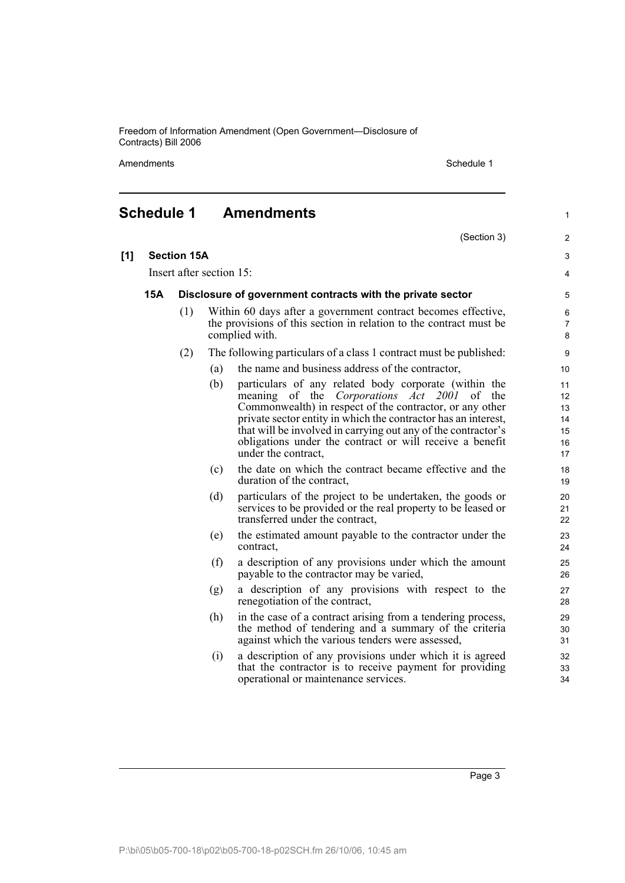Amendments **Schedule 1** Schedule 1

1

#### <span id="page-4-0"></span>**Schedule 1 Amendments**

(Section 3) **[1] Section 15A** Insert after section 15: **15A Disclosure of government contracts with the private sector** (1) Within 60 days after a government contract becomes effective, the provisions of this section in relation to the contract must be complied with. (2) The following particulars of a class 1 contract must be published: (a) the name and business address of the contractor, (b) particulars of any related body corporate (within the meaning of the *Corporations Act 2001* of the Commonwealth) in respect of the contractor, or any other private sector entity in which the contractor has an interest, that will be involved in carrying out any of the contractor's obligations under the contract or will receive a benefit under the contract, (c) the date on which the contract became effective and the duration of the contract, (d) particulars of the project to be undertaken, the goods or services to be provided or the real property to be leased or transferred under the contract, (e) the estimated amount payable to the contractor under the contract, (f) a description of any provisions under which the amount payable to the contractor may be varied, (g) a description of any provisions with respect to the renegotiation of the contract, (h) in the case of a contract arising from a tendering process, the method of tendering and a summary of the criteria against which the various tenders were assessed, (i) a description of any provisions under which it is agreed that the contractor is to receive payment for providing operational or maintenance services.  $\overline{2}$ 3 4 5 6 7 8 9 10 11 12 13 14 15 16 17 18 19 20 21 22 23 24 25 26 27 28 29 30 31 32 33 34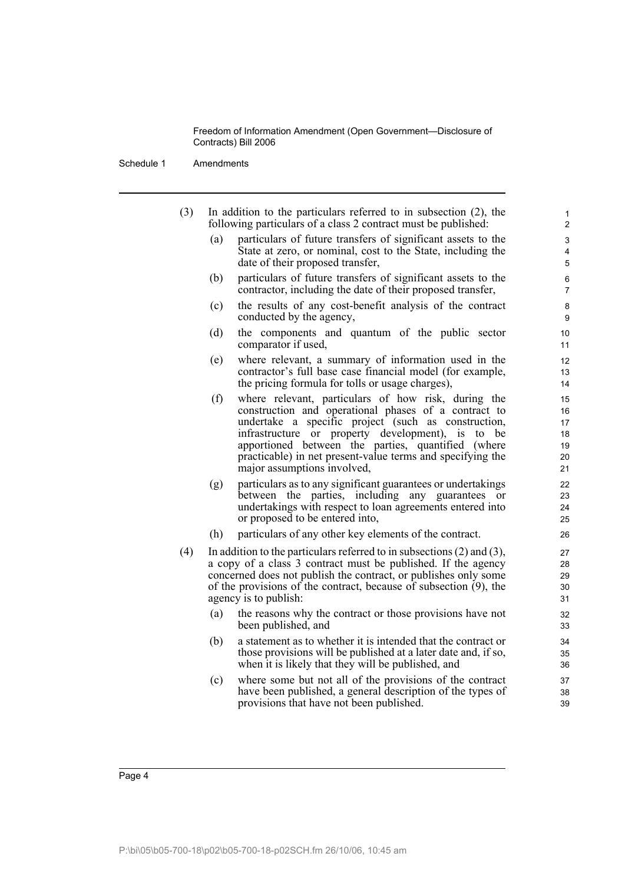Schedule 1 Amendments

|     |                                                                                                                                                                                                                                                                                                                                                                                      | 1<br>$\overline{2}$                                                                                                                                                                                                                                                                                                                                                                                                                                  |
|-----|--------------------------------------------------------------------------------------------------------------------------------------------------------------------------------------------------------------------------------------------------------------------------------------------------------------------------------------------------------------------------------------|------------------------------------------------------------------------------------------------------------------------------------------------------------------------------------------------------------------------------------------------------------------------------------------------------------------------------------------------------------------------------------------------------------------------------------------------------|
| (a) | particulars of future transfers of significant assets to the<br>State at zero, or nominal, cost to the State, including the<br>date of their proposed transfer,                                                                                                                                                                                                                      | 3<br>4<br>5                                                                                                                                                                                                                                                                                                                                                                                                                                          |
| (b) | particulars of future transfers of significant assets to the<br>contractor, including the date of their proposed transfer,                                                                                                                                                                                                                                                           | 6<br>$\overline{7}$                                                                                                                                                                                                                                                                                                                                                                                                                                  |
| (c) | the results of any cost-benefit analysis of the contract<br>conducted by the agency,                                                                                                                                                                                                                                                                                                 | 8<br>9                                                                                                                                                                                                                                                                                                                                                                                                                                               |
| (d) | the components and quantum of the public sector<br>comparator if used,                                                                                                                                                                                                                                                                                                               | 10<br>11                                                                                                                                                                                                                                                                                                                                                                                                                                             |
| (e) | where relevant, a summary of information used in the<br>contractor's full base case financial model (for example,<br>the pricing formula for tolls or usage charges),                                                                                                                                                                                                                | 12<br>13<br>14                                                                                                                                                                                                                                                                                                                                                                                                                                       |
| (f) | where relevant, particulars of how risk, during the<br>construction and operational phases of a contract to<br>undertake a specific project (such as construction,<br>infrastructure or property development), is<br>to<br>be<br>apportioned between the parties, quantified<br>(where)<br>practicable) in net present-value terms and specifying the<br>major assumptions involved, | 15<br>16<br>17<br>18<br>19<br>20<br>21                                                                                                                                                                                                                                                                                                                                                                                                               |
| (g) | particulars as to any significant guarantees or undertakings<br>between the parties, including any guarantees or<br>undertakings with respect to loan agreements entered into<br>or proposed to be entered into,                                                                                                                                                                     | 22<br>23<br>24<br>25                                                                                                                                                                                                                                                                                                                                                                                                                                 |
| (h) | particulars of any other key elements of the contract.                                                                                                                                                                                                                                                                                                                               | 26                                                                                                                                                                                                                                                                                                                                                                                                                                                   |
|     |                                                                                                                                                                                                                                                                                                                                                                                      | 27<br>28<br>29<br>30<br>31                                                                                                                                                                                                                                                                                                                                                                                                                           |
| (a) | the reasons why the contract or those provisions have not<br>been published, and                                                                                                                                                                                                                                                                                                     | 32<br>33                                                                                                                                                                                                                                                                                                                                                                                                                                             |
| (b) | a statement as to whether it is intended that the contract or<br>those provisions will be published at a later date and, if so,<br>when it is likely that they will be published, and                                                                                                                                                                                                | 34<br>35<br>36                                                                                                                                                                                                                                                                                                                                                                                                                                       |
| (c) | where some but not all of the provisions of the contract<br>have been published, a general description of the types of<br>provisions that have not been published.                                                                                                                                                                                                                   | 37<br>38<br>39                                                                                                                                                                                                                                                                                                                                                                                                                                       |
|     |                                                                                                                                                                                                                                                                                                                                                                                      | In addition to the particulars referred to in subsection (2), the<br>following particulars of a class 2 contract must be published:<br>In addition to the particulars referred to in subsections $(2)$ and $(3)$ ,<br>a copy of a class 3 contract must be published. If the agency<br>concerned does not publish the contract, or publishes only some<br>of the provisions of the contract, because of subsection (9), the<br>agency is to publish: |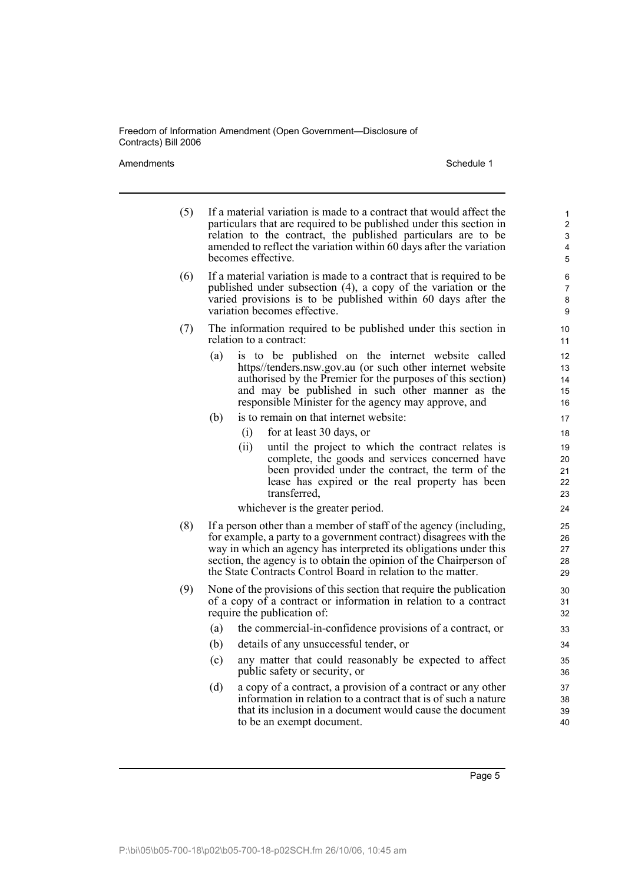Amendments **Schedule 1** Schedule 1

- (5) If a material variation is made to a contract that would affect the particulars that are required to be published under this section in relation to the contract, the published particulars are to be amended to reflect the variation within 60 days after the variation becomes effective.
- (6) If a material variation is made to a contract that is required to be published under subsection (4), a copy of the variation or the varied provisions is to be published within 60 days after the variation becomes effective.
- (7) The information required to be published under this section in relation to a contract:
	- (a) is to be published on the internet website called https//tenders.nsw.gov.au (or such other internet website authorised by the Premier for the purposes of this section) and may be published in such other manner as the responsible Minister for the agency may approve, and
	- (b) is to remain on that internet website:
		- (i) for at least 30 days, or
		- (ii) until the project to which the contract relates is complete, the goods and services concerned have been provided under the contract, the term of the lease has expired or the real property has been transferred,

whichever is the greater period.

- (8) If a person other than a member of staff of the agency (including, for example, a party to a government contract) disagrees with the way in which an agency has interpreted its obligations under this section, the agency is to obtain the opinion of the Chairperson of the State Contracts Control Board in relation to the matter.
- (9) None of the provisions of this section that require the publication of a copy of a contract or information in relation to a contract require the publication of:
	- (a) the commercial-in-confidence provisions of a contract, or
	- (b) details of any unsuccessful tender, or
	- (c) any matter that could reasonably be expected to affect public safety or security, or
	- (d) a copy of a contract, a provision of a contract or any other information in relation to a contract that is of such a nature that its inclusion in a document would cause the document to be an exempt document.

Page 5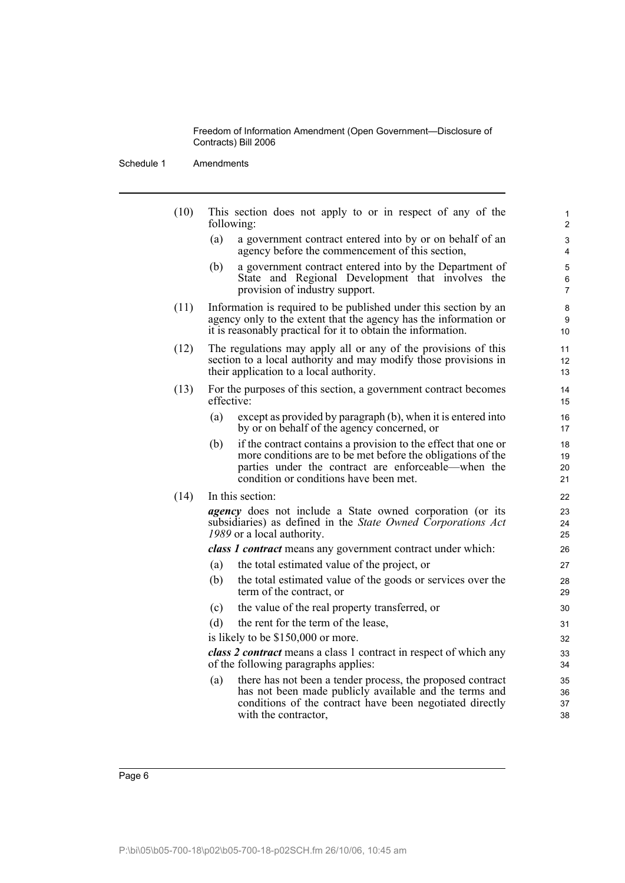Schedule 1 Amendments

| (10) |     | This section does not apply to or in respect of any of the<br>following:                                                                                                                                                       | 1<br>2                   |
|------|-----|--------------------------------------------------------------------------------------------------------------------------------------------------------------------------------------------------------------------------------|--------------------------|
|      | (a) | a government contract entered into by or on behalf of an<br>agency before the commencement of this section,                                                                                                                    | 3<br>4                   |
|      | (b) | a government contract entered into by the Department of<br>State and Regional Development that involves the<br>provision of industry support.                                                                                  | 5<br>6<br>$\overline{7}$ |
| (11) |     | Information is required to be published under this section by an<br>agency only to the extent that the agency has the information or<br>it is reasonably practical for it to obtain the information.                           | 8<br>9<br>10             |
| (12) |     | The regulations may apply all or any of the provisions of this<br>section to a local authority and may modify those provisions in<br>their application to a local authority.                                                   | 11<br>12<br>13           |
| (13) |     | For the purposes of this section, a government contract becomes<br>effective:                                                                                                                                                  | 14<br>15                 |
|      | (a) | except as provided by paragraph (b), when it is entered into<br>by or on behalf of the agency concerned, or                                                                                                                    | 16<br>17                 |
|      | (b) | if the contract contains a provision to the effect that one or<br>more conditions are to be met before the obligations of the<br>parties under the contract are enforceable—when the<br>condition or conditions have been met. | 18<br>19<br>20<br>21     |
| (14) |     | In this section:                                                                                                                                                                                                               | 22                       |
|      |     | <i>agency</i> does not include a State owned corporation (or its<br>subsidiaries) as defined in the State Owned Corporations Act<br>1989 or a local authority.                                                                 | 23<br>24<br>25           |
|      |     | <b><i>class 1 contract</i></b> means any government contract under which:                                                                                                                                                      | 26                       |
|      | (a) | the total estimated value of the project, or                                                                                                                                                                                   | 27                       |
|      | (b) | the total estimated value of the goods or services over the<br>term of the contract, or                                                                                                                                        | 28<br>29                 |
|      | (c) | the value of the real property transferred, or                                                                                                                                                                                 | 30                       |
|      | (d) | the rent for the term of the lease,                                                                                                                                                                                            | 31                       |
|      |     | is likely to be \$150,000 or more.                                                                                                                                                                                             | 32                       |
|      |     | class 2 contract means a class 1 contract in respect of which any<br>of the following paragraphs applies:                                                                                                                      | 33<br>34                 |
|      | (a) | there has not been a tender process, the proposed contract<br>has not been made publicly available and the terms and<br>conditions of the contract have been negotiated directly<br>with the contractor,                       | 35<br>36<br>37<br>38     |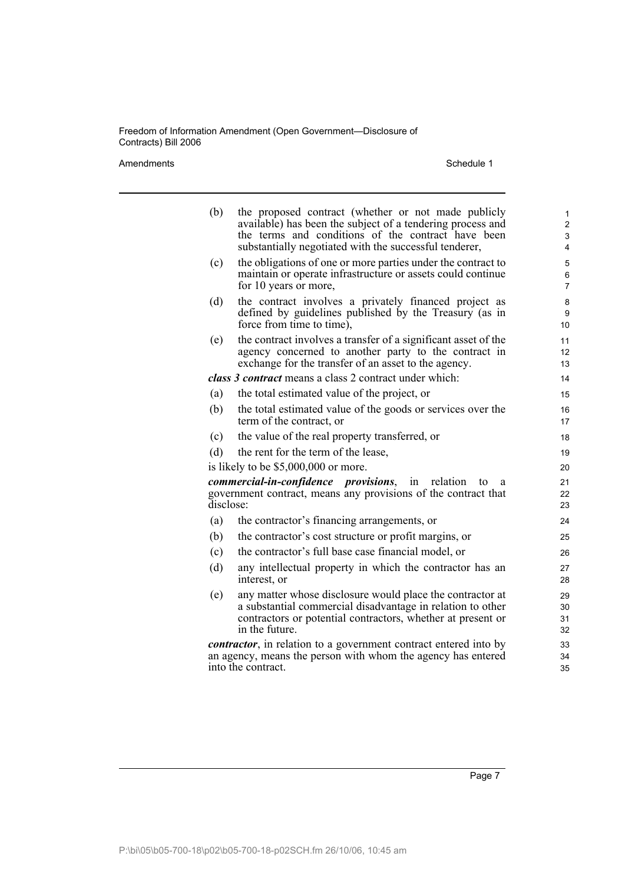Amendments Schedule 1

| (b)       | the proposed contract (whether or not made publicly<br>available) has been the subject of a tendering process and<br>the terms and conditions of the contract have been<br>substantially negotiated with the successful tenderer, | $\mathbf{1}$<br>2<br>3<br>$\overline{\mathbf{4}}$ |
|-----------|-----------------------------------------------------------------------------------------------------------------------------------------------------------------------------------------------------------------------------------|---------------------------------------------------|
| (c)       | the obligations of one or more parties under the contract to<br>maintain or operate infrastructure or assets could continue<br>for 10 years or more,                                                                              | 5<br>6<br>7                                       |
| (d)       | the contract involves a privately financed project as<br>defined by guidelines published by the Treasury (as in<br>force from time to time),                                                                                      | 8<br>9<br>10                                      |
| (e)       | the contract involves a transfer of a significant asset of the<br>agency concerned to another party to the contract in<br>exchange for the transfer of an asset to the agency.                                                    | 11<br>12<br>13                                    |
|           | class 3 contract means a class 2 contract under which:                                                                                                                                                                            | 14                                                |
| (a)       | the total estimated value of the project, or                                                                                                                                                                                      | 15                                                |
| (b)       | the total estimated value of the goods or services over the<br>term of the contract, or                                                                                                                                           | 16<br>17                                          |
| (c)       | the value of the real property transferred, or                                                                                                                                                                                    | 18                                                |
| (d)       | the rent for the term of the lease,                                                                                                                                                                                               | 19                                                |
|           | is likely to be \$5,000,000 or more.                                                                                                                                                                                              | 20                                                |
| disclose: | commercial-in-confidence provisions, in relation<br>to<br>a<br>government contract, means any provisions of the contract that                                                                                                     | 21<br>22<br>23                                    |
| (a)       | the contractor's financing arrangements, or                                                                                                                                                                                       | 24                                                |
| (b)       | the contractor's cost structure or profit margins, or                                                                                                                                                                             | 25                                                |
| (c)       | the contractor's full base case financial model, or                                                                                                                                                                               | 26                                                |
| (d)       | any intellectual property in which the contractor has an<br>interest, or                                                                                                                                                          | 27<br>28                                          |
| (e)       | any matter whose disclosure would place the contractor at<br>a substantial commercial disadvantage in relation to other<br>contractors or potential contractors, whether at present or<br>in the future.                          | 29<br>30<br>31<br>32                              |
|           | <i>contractor</i> , in relation to a government contract entered into by                                                                                                                                                          | 33                                                |
|           | an agency, means the person with whom the agency has entered<br>into the contract.                                                                                                                                                | 34<br>35                                          |